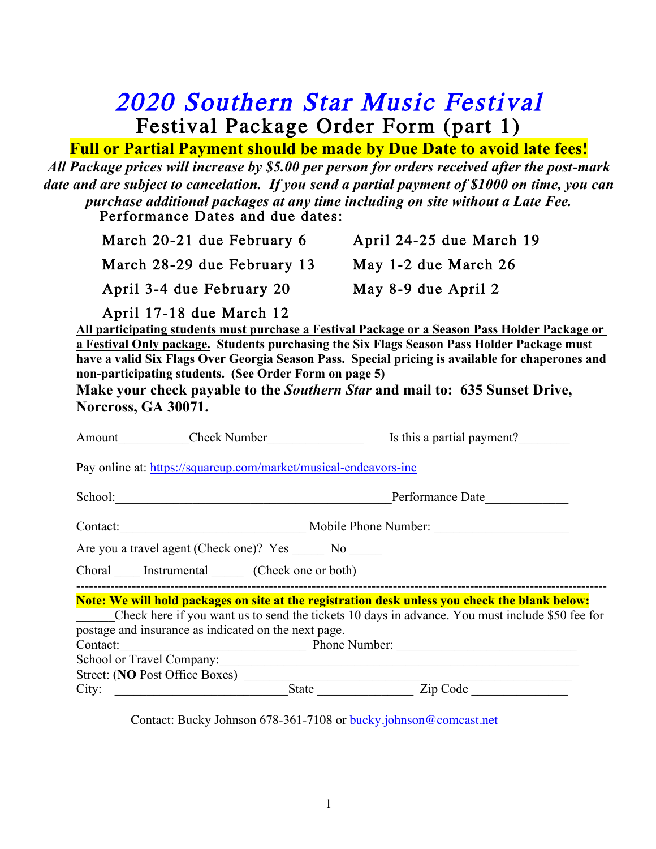## 2020 Southern Star Music Festival Festival Package Order Form (part 1)

## **Full or Partial Payment should be made by Due Date to avoid late fees!**

*All Package prices will increase by \$5.00 per person for orders received after the post-mark date and are subject to cancelation. If you send a partial payment of \$1000 on time, you can purchase additional packages at any time including on site without a Late Fee.* Performance Dates and due dates:

| March 20-21 due February 6  | April 24-25 due March 19 |
|-----------------------------|--------------------------|
| March 28-29 due February 13 | May 1-2 due March 26     |
| April 3-4 due February 20   | May 8-9 due April 2      |

April 17-18 due March 12

**All participating students must purchase a Festival Package or a Season Pass Holder Package or a Festival Only package. Students purchasing the Six Flags Season Pass Holder Package must have a valid Six Flags Over Georgia Season Pass. Special pricing is available for chaperones and non-participating students. (See Order Form on page 5)**

**Make your check payable to the** *Southern Star* **and mail to: 635 Sunset Drive, Norcross, GA 30071.** 

|          | Amount Check Number                                              | Is this a partial payment?                                                                      |  |
|----------|------------------------------------------------------------------|-------------------------------------------------------------------------------------------------|--|
|          | Pay online at: https://squareup.com/market/musical-endeavors-inc |                                                                                                 |  |
|          | School:                                                          | Performance Date                                                                                |  |
| Contact: |                                                                  | Mobile Phone Number:                                                                            |  |
|          | Are you a travel agent (Check one)? Yes _______ No _______       |                                                                                                 |  |
|          | Choral Instrumental (Check one or both)                          |                                                                                                 |  |
|          |                                                                  | Note: We will hold packages on site at the registration desk unless you check the blank below:  |  |
|          |                                                                  | Check here if you want us to send the tickets 10 days in advance. You must include \$50 fee for |  |
|          | postage and insurance as indicated on the next page.             |                                                                                                 |  |
| Contact: |                                                                  | Phone Number:                                                                                   |  |
|          |                                                                  |                                                                                                 |  |
|          | Street: (NO Post Office Boxes)                                   |                                                                                                 |  |
| City:    |                                                                  | State Zip Code                                                                                  |  |
|          |                                                                  |                                                                                                 |  |

Contact: Bucky Johnson 678-361-7108 or bucky.johnson@comcast.net